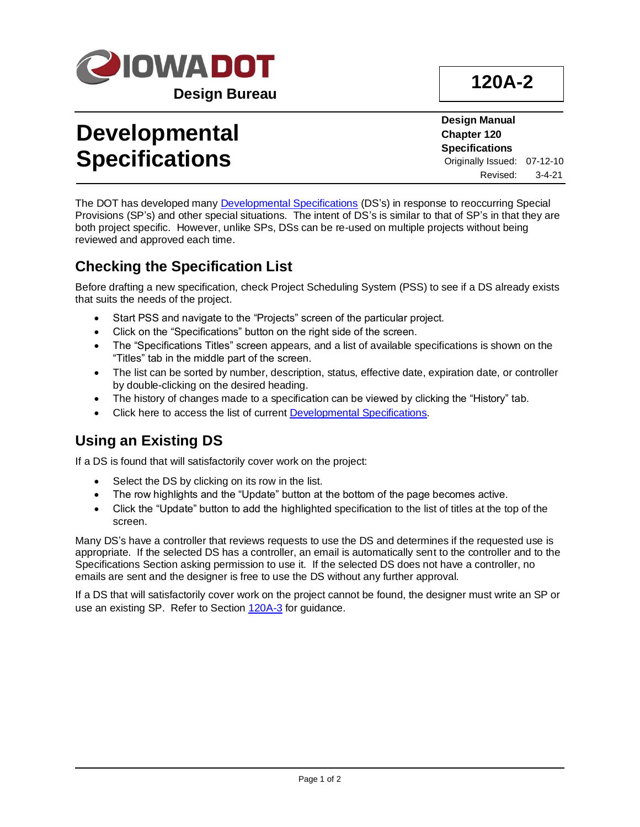

# **Developmental Specifications**

**Design Manual Chapter 120 Specifications** Originally Issued: 07-12-10 Revised: 3-4-21

The DOT has developed many **Developmental Specifications** (DS's) in response to reoccurring Special Provisions (SP's) and other special situations. The intent of DS's is similar to that of SP's in that they are both project specific. However, unlike SPs, DSs can be re-used on multiple projects without being reviewed and approved each time.

### **Checking the Specification List**

Before drafting a new specification, check Project Scheduling System (PSS) to see if a DS already exists that suits the needs of the project.

- Start PSS and navigate to the "Projects" screen of the particular project.
- Click on the "Specifications" button on the right side of the screen.
- The "Specifications Titles" screen appears, and a list of available specifications is shown on the "Titles" tab in the middle part of the screen.
- The list can be sorted by number, description, status, effective date, expiration date, or controller by double-clicking on the desired heading.
- The history of changes made to a specification can be viewed by clicking the "History" tab.
- Click here to access the list of current [Developmental Specifications.](../../specifications/)

## **Using an Existing DS**

If a DS is found that will satisfactorily cover work on the project:

- Select the DS by clicking on its row in the list.
- The row highlights and the "Update" button at the bottom of the page becomes active.
- Click the "Update" button to add the highlighted specification to the list of titles at the top of the screen.

Many DS's have a controller that reviews requests to use the DS and determines if the requested use is appropriate. If the selected DS has a controller, an email is automatically sent to the controller and to the Specifications Section asking permission to use it. If the selected DS does not have a controller, no emails are sent and the designer is free to use the DS without any further approval.

If a DS that will satisfactorily cover work on the project cannot be found, the designer must write an SP or use an existing SP. Refer to Section [120A-3](120a-03.pdf) for guidance.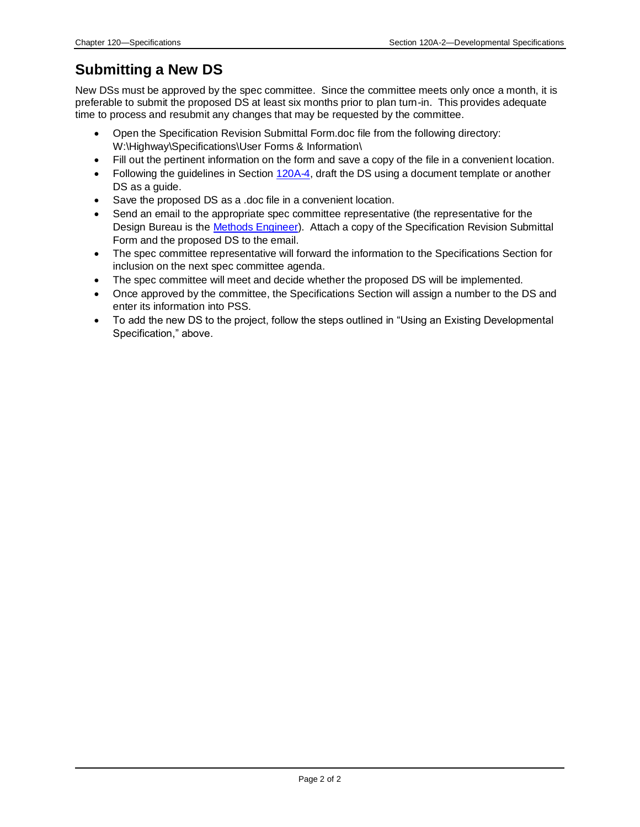#### **Submitting a New DS**

New DSs must be approved by the spec committee. Since the committee meets only once a month, it is preferable to submit the proposed DS at least six months prior to plan turn-in. This provides adequate time to process and resubmit any changes that may be requested by the committee.

- Open the Specification Revision Submittal Form.doc file from the following directory: W:\Highway\Specifications\User Forms & Information\
- Fill out the pertinent information on the form and save a copy of the file in a convenient location.
- Following the guidelines in Section [120A-4,](120a-04.pdf) draft the DS using a document template or another DS as a guide.
- Save the proposed DS as a .doc file in a convenient location.
- Send an email to the appropriate spec committee representative (the representative for the Design Bureau is th[e Methods Engineer\)](01b-02/MethodsEngineer.pdf). Attach a copy of the Specification Revision Submittal Form and the proposed DS to the email.
- The spec committee representative will forward the information to the Specifications Section for inclusion on the next spec committee agenda.
- The spec committee will meet and decide whether the proposed DS will be implemented.
- Once approved by the committee, the Specifications Section will assign a number to the DS and enter its information into PSS.
- To add the new DS to the project, follow the steps outlined in "Using an Existing Developmental Specification," above.